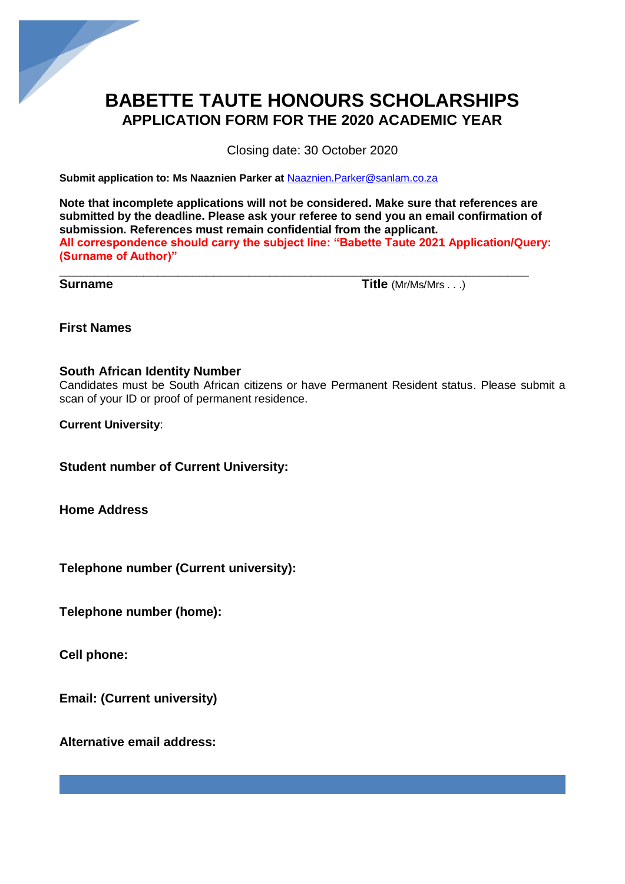

## **BABETTE TAUTE HONOURS SCHOLARSHIPS APPLICATION FORM FOR THE 2020 ACADEMIC YEAR**

Closing date: 30 October 2020

**Submit application to: Ms Naaznien Parker at** [Naaznien.Parker@sanlam.co.za](mailto:Naaznien.Parker@sanlam.co.za)

**Note that incomplete applications will not be considered. Make sure that references are submitted by the deadline. Please ask your referee to send you an email confirmation of submission. References must remain confidential from the applicant. All correspondence should carry the subject line: "Babette Taute 2021 Application/Query: (Surname of Author)"**

\_\_\_\_\_\_\_\_\_\_\_\_\_\_\_\_\_\_\_\_\_\_\_\_\_\_\_\_\_\_\_\_\_\_\_\_\_\_\_\_\_\_\_\_\_\_\_\_\_\_\_\_\_\_\_\_\_\_\_\_\_\_\_\_\_\_\_

**Surname Title**  $(Mr/Ms/Mrs...)$ 

**First Names**

#### **South African Identity Number**

Candidates must be South African citizens or have Permanent Resident status. Please submit a scan of your ID or proof of permanent residence.

**Current University**:

**Student number of Current University:**

**Home Address**

**Telephone number (Current university):**

**Telephone number (home):**

**Cell phone:**

**Email: (Current university)**

**Alternative email address:**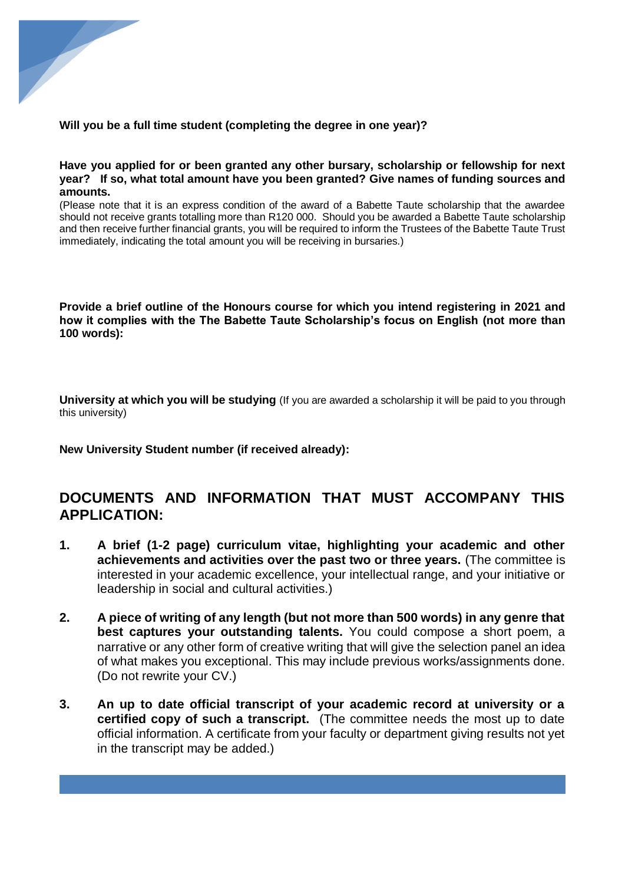

#### **Will you be a full time student (completing the degree in one year)?**

#### **Have you applied for or been granted any other bursary, scholarship or fellowship for next year? If so, what total amount have you been granted? Give names of funding sources and amounts.**

(Please note that it is an express condition of the award of a Babette Taute scholarship that the awardee should not receive grants totalling more than R120 000. Should you be awarded a Babette Taute scholarship and then receive further financial grants, you will be required to inform the Trustees of the Babette Taute Trust immediately, indicating the total amount you will be receiving in bursaries.)

**Provide a brief outline of the Honours course for which you intend registering in 2021 and how it complies with the The Babette Taute Scholarship's focus on English (not more than 100 words):**

**University at which you will be studying** (If you are awarded a scholarship it will be paid to you through this university)

**New University Student number (if received already):** 

### **DOCUMENTS AND INFORMATION THAT MUST ACCOMPANY THIS APPLICATION:**

- **1. A brief (1-2 page) curriculum vitae, highlighting your academic and other achievements and activities over the past two or three years.** (The committee is interested in your academic excellence, your intellectual range, and your initiative or leadership in social and cultural activities.)
- **2. A piece of writing of any length (but not more than 500 words) in any genre that best captures your outstanding talents.** You could compose a short poem, a narrative or any other form of creative writing that will give the selection panel an idea of what makes you exceptional. This may include previous works/assignments done. (Do not rewrite your CV.)
- **3. An up to date official transcript of your academic record at university or a certified copy of such a transcript.** (The committee needs the most up to date official information. A certificate from your faculty or department giving results not yet in the transcript may be added.)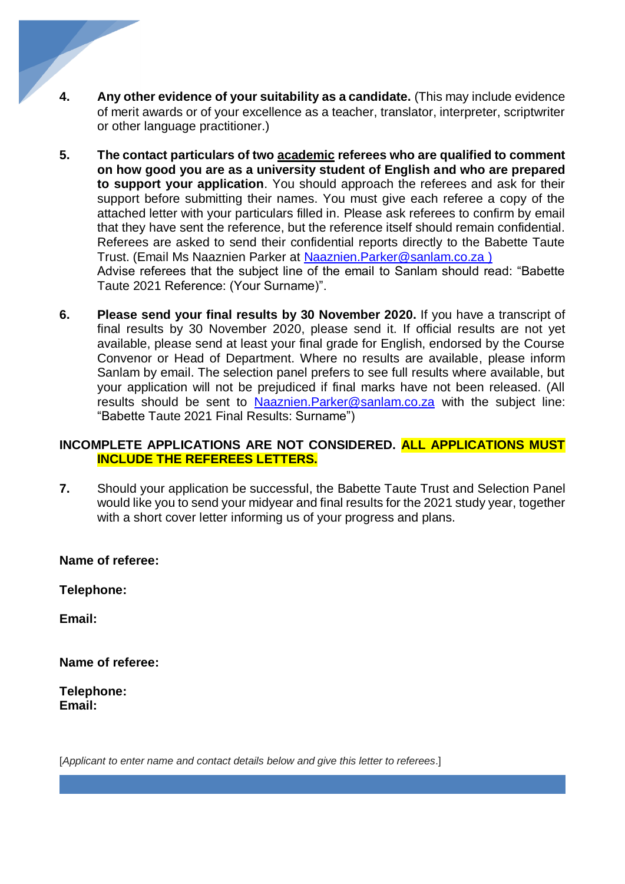- **4. Any other evidence of your suitability as a candidate.** (This may include evidence of merit awards or of your excellence as a teacher, translator, interpreter, scriptwriter or other language practitioner.)
- **5. The contact particulars of two academic referees who are qualified to comment on how good you are as a university student of English and who are prepared to support your application**. You should approach the referees and ask for their support before submitting their names. You must give each referee a copy of the attached letter with your particulars filled in. Please ask referees to confirm by email that they have sent the reference, but the reference itself should remain confidential. Referees are asked to send their confidential reports directly to the Babette Taute Trust. (Email Ms Naaznien Parker at [Naaznien.Parker@sanlam.co.za](mailto:Naaznien.Parker@sanlam.co.za) ) Advise referees that the subject line of the email to Sanlam should read: "Babette Taute 2021 Reference: (Your Surname)".
- **6. Please send your final results by 30 November 2020.** If you have a transcript of final results by 30 November 2020, please send it. If official results are not yet available, please send at least your final grade for English, endorsed by the Course Convenor or Head of Department. Where no results are available, please inform Sanlam by email. The selection panel prefers to see full results where available, but your application will not be prejudiced if final marks have not been released. (All results should be sent to [Naaznien.Parker@sanlam.co.za](mailto:Naaznien.Parker@sanlam.co.za) with the subject line: "Babette Taute 2021 Final Results: Surname")

#### **INCOMPLETE APPLICATIONS ARE NOT CONSIDERED. ALL APPLICATIONS MUST INCLUDE THE REFEREES LETTERS.**

**7.** Should your application be successful, the Babette Taute Trust and Selection Panel would like you to send your midyear and final results for the 2021 study year, together with a short cover letter informing us of your progress and plans.

#### **Name of referee:**

**Telephone:**

**Email:**

**Name of referee:**

**Telephone: Email:**

[*Applicant to enter name and contact details below and give this letter to referees*.]